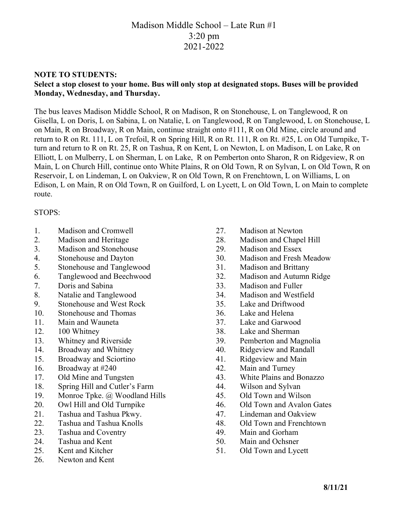# Madison Middle School – Late Run #1 3:20 pm 2021-2022

#### **NOTE TO STUDENTS:**

### **Select a stop closest to your home. Bus will only stop at designated stops. Buses will be provided Monday, Wednesday, and Thursday.**

The bus leaves Madison Middle School, R on Madison, R on Stonehouse, L on Tanglewood, R on Gisella, L on Doris, L on Sabina, L on Natalie, L on Tanglewood, R on Tanglewood, L on Stonehouse, L on Main, R on Broadway, R on Main, continue straight onto #111, R on Old Mine, circle around and return to R on Rt. 111, L on Trefoil, R on Spring Hill, R on Rt. 111, R on Rt. #25, L on Old Turnpike, Tturn and return to R on Rt. 25, R on Tashua, R on Kent, L on Newton, L on Madison, L on Lake, R on Elliott, L on Mulberry, L on Sherman, L on Lake, R on Pemberton onto Sharon, R on Ridgeview, R on Main, L on Church Hill, continue onto White Plains, R on Old Town, R on Sylvan, L on Old Town, R on Reservoir, L on Lindeman, L on Oakview, R on Old Town, R on Frenchtown, L on Williams, L on Edison, L on Main, R on Old Town, R on Guilford, L on Lycett, L on Old Town, L on Main to complete route.

#### STOPS:

- 1. Madison and Cromwell
- 2. Madison and Heritage
- 3. Madison and Stonehouse
- 4. Stonehouse and Dayton
- 5. Stonehouse and Tanglewood
- 6. Tanglewood and Beechwood
- 7. Doris and Sabina
- 8. Natalie and Tanglewood
- 9. Stonehouse and West Rock
- 10. Stonehouse and Thomas
- 11. Main and Wauneta
- 12. 100 Whitney
- 13. Whitney and Riverside
- 14. Broadway and Whitney
- 15. Broadway and Sciortino
- 16. Broadway at #240
- 17. Old Mine and Tungsten
- 18. Spring Hill and Cutler's Farm
- 19. Monroe Tpke. @ Woodland Hills
- 20. Owl Hill and Old Turnpike
- 21. Tashua and Tashua Pkwy.
- 22. Tashua and Tashua Knolls
- 23. Tashua and Coventry
- 24. Tashua and Kent
- 25. Kent and Kitcher
- 26. Newton and Kent
- 27. Madison at Newton
- 28. Madison and Chapel Hill
- 29. Madison and Essex
- 30. Madison and Fresh Meadow
- 31. Madison and Brittany
- 32. Madison and Autumn Ridge
- 33. Madison and Fuller
- 34. Madison and Westfield
- 35. Lake and Driftwood
- 36. Lake and Helena
- 37. Lake and Garwood
- 38. Lake and Sherman
- 39. Pemberton and Magnolia
- 40. Ridgeview and Randall
- 41. Ridgeview and Main
- 42. Main and Turney
- 43. White Plains and Bonazzo
- 44. Wilson and Sylvan
- 45. Old Town and Wilson
- 46. Old Town and Avalon Gates
- 47. Lindeman and Oakview
- 48. Old Town and Frenchtown
- 49. Main and Gorham
- 50. Main and Ochsner
- 51. Old Town and Lycett